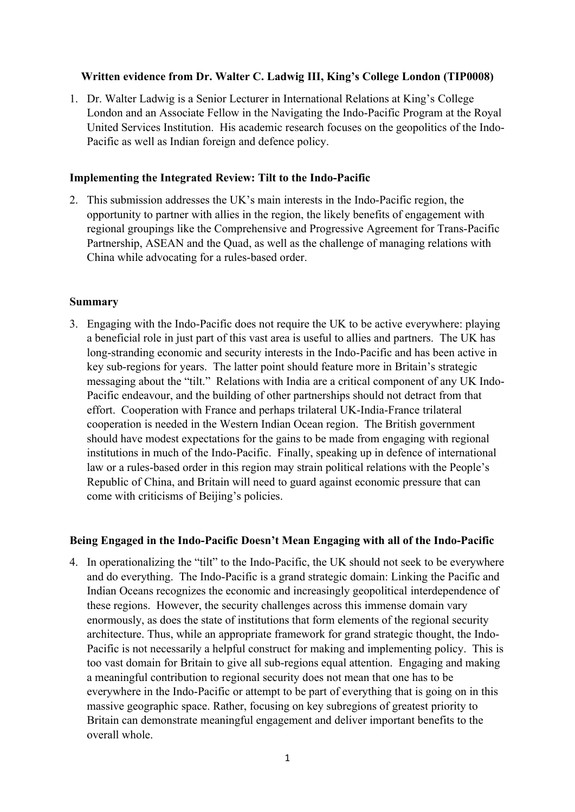## **Written evidence from Dr. Walter C. Ladwig III, King's College London (TIP0008)**

1. Dr. Walter Ladwig is a Senior Lecturer in International Relations at King's College London and an Associate Fellow in the Navigating the Indo-Pacific Program at the Royal United Services Institution. His academic research focuses on the geopolitics of the Indo-Pacific as well as Indian foreign and defence policy.

### **Implementing the Integrated Review: Tilt to the Indo-Pacific**

2. This submission addresses the UK's main interests in the Indo-Pacific region, the opportunity to partner with allies in the region, the likely benefits of engagement with regional groupings like the Comprehensive and Progressive Agreement for Trans-Pacific Partnership, ASEAN and the Quad, as well as the challenge of managing relations with China while advocating for a rules-based order.

#### **Summary**

3. Engaging with the Indo-Pacific does not require the UK to be active everywhere: playing a beneficial role in just part of this vast area is useful to allies and partners. The UK has long-stranding economic and security interests in the Indo-Pacific and has been active in key sub-regions for years. The latter point should feature more in Britain's strategic messaging about the "tilt." Relations with India are a critical component of any UK Indo-Pacific endeavour, and the building of other partnerships should not detract from that effort. Cooperation with France and perhaps trilateral UK-India-France trilateral cooperation is needed in the Western Indian Ocean region. The British government should have modest expectations for the gains to be made from engaging with regional institutions in much of the Indo-Pacific. Finally, speaking up in defence of international law or a rules-based order in this region may strain political relations with the People's Republic of China, and Britain will need to guard against economic pressure that can come with criticisms of Beijing's policies.

### **Being Engaged in the Indo-Pacific Doesn't Mean Engaging with all of the Indo-Pacific**

4. In operationalizing the "tilt" to the Indo-Pacific, the UK should not seek to be everywhere and do everything. The Indo-Pacific is a grand strategic domain: Linking the Pacific and Indian Oceans recognizes the economic and increasingly geopolitical interdependence of these regions. However, the security challenges across this immense domain vary enormously, as does the state of institutions that form elements of the regional security architecture. Thus, while an appropriate framework for grand strategic thought, the Indo-Pacific is not necessarily a helpful construct for making and implementing policy. This is too vast domain for Britain to give all sub-regions equal attention. Engaging and making a meaningful contribution to regional security does not mean that one has to be everywhere in the Indo-Pacific or attempt to be part of everything that is going on in this massive geographic space. Rather, focusing on key subregions of greatest priority to Britain can demonstrate meaningful engagement and deliver important benefits to the overall whole.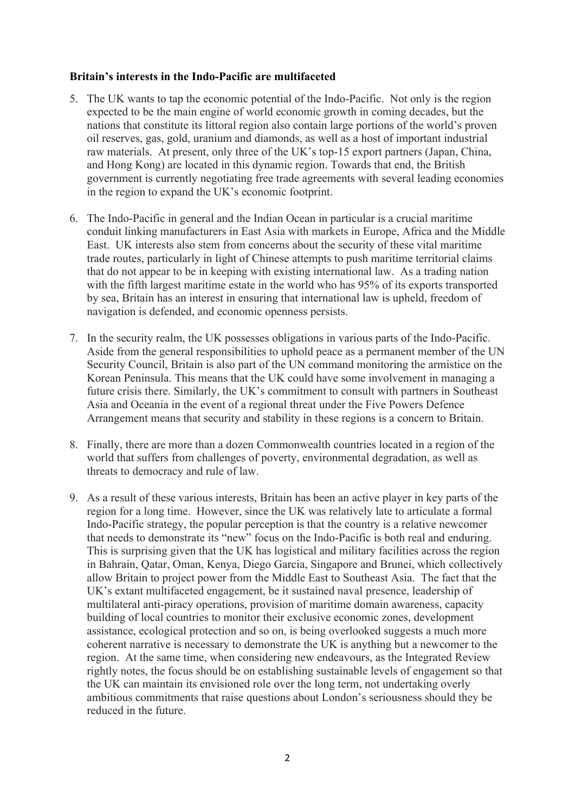## **Britain's interests in the Indo-Pacific are multifaceted**

- 5. The UK wants to tap the economic potential of the Indo-Pacific. Not only is the region expected to be the main engine of world economic growth in coming decades, but the nations that constitute its littoral region also contain large portions of the world's proven oil reserves, gas, gold, uranium and diamonds, as well as a host of important industrial raw materials. At present, only three of the UK's top-15 export partners (Japan, China, and Hong Kong) are located in this dynamic region. Towards that end, the British government is currently negotiating free trade agreements with several leading economies in the region to expand the UK's economic footprint.
- 6. The Indo-Pacific in general and the Indian Ocean in particular is a crucial maritime conduit linking manufacturers in East Asia with markets in Europe, Africa and the Middle East. UK interests also stem from concerns about the security of these vital maritime trade routes, particularly in light of Chinese attempts to push maritime territorial claims that do not appear to be in keeping with existing international law. As a trading nation with the fifth largest maritime estate in the world who has 95% of its exports transported by sea, Britain has an interest in ensuring that international law is upheld, freedom of navigation is defended, and economic openness persists.
- 7. In the security realm, the UK possesses obligations in various parts of the Indo-Pacific. Aside from the general responsibilities to uphold peace as a permanent member of the UN Security Council, Britain is also part of the UN command monitoring the armistice on the Korean Peninsula. This means that the UK could have some involvement in managing a future crisis there. Similarly, the UK's commitment to consult with partners in Southeast Asia and Oceania in the event of a regional threat under the Five Powers Defence Arrangement means that security and stability in these regions is a concern to Britain.
- 8. Finally, there are more than a dozen Commonwealth countries located in a region of the world that suffers from challenges of poverty, environmental degradation, as well as threats to democracy and rule of law.
- 9. As a result of these various interests, Britain has been an active player in key parts of the region for a long time. However, since the UK was relatively late to articulate a formal Indo-Pacific strategy, the popular perception is that the country is a relative newcomer that needs to demonstrate its "new" focus on the Indo-Pacific is both real and enduring. This is surprising given that the UK has logistical and military facilities across the region in Bahrain, Qatar, Oman, Kenya, Diego Garcia, Singapore and Brunei, which collectively allow Britain to project power from the Middle East to Southeast Asia. The fact that the UK's extant multifaceted engagement, be it sustained naval presence, leadership of multilateral anti-piracy operations, provision of maritime domain awareness, capacity building of local countries to monitor their exclusive economic zones, development assistance, ecological protection and so on, is being overlooked suggests a much more coherent narrative is necessary to demonstrate the UK is anything but a newcomer to the region. At the same time, when considering new endeavours, as the Integrated Review rightly notes, the focus should be on establishing sustainable levels of engagement so that the UK can maintain its envisioned role over the long term, not undertaking overly ambitious commitments that raise questions about London's seriousness should they be reduced in the future.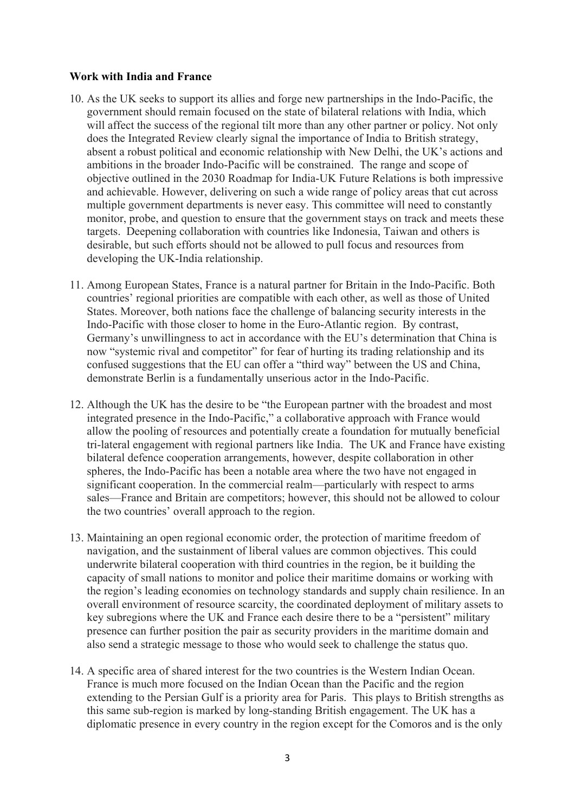## **Work with India and France**

- 10. As the UK seeks to support its allies and forge new partnerships in the Indo-Pacific, the government should remain focused on the state of bilateral relations with India, which will affect the success of the regional tilt more than any other partner or policy. Not only does the Integrated Review clearly signal the importance of India to British strategy, absent a robust political and economic relationship with New Delhi, the UK's actions and ambitions in the broader Indo-Pacific will be constrained. The range and scope of objective outlined in the 2030 Roadmap for India-UK Future Relations is both impressive and achievable. However, delivering on such a wide range of policy areas that cut across multiple government departments is never easy. This committee will need to constantly monitor, probe, and question to ensure that the government stays on track and meets these targets. Deepening collaboration with countries like Indonesia, Taiwan and others is desirable, but such efforts should not be allowed to pull focus and resources from developing the UK-India relationship.
- 11. Among European States, France is a natural partner for Britain in the Indo-Pacific. Both countries' regional priorities are compatible with each other, as well as those of United States. Moreover, both nations face the challenge of balancing security interests in the Indo-Pacific with those closer to home in the Euro-Atlantic region. By contrast, Germany's unwillingness to act in accordance with the EU's determination that China is now "systemic rival and competitor" for fear of hurting its trading relationship and its confused suggestions that the EU can offer a "third way" between the US and China, demonstrate Berlin is a fundamentally unserious actor in the Indo-Pacific.
- 12. Although the UK has the desire to be "the European partner with the broadest and most integrated presence in the Indo-Pacific," a collaborative approach with France would allow the pooling of resources and potentially create a foundation for mutually beneficial tri-lateral engagement with regional partners like India. The UK and France have existing bilateral defence cooperation arrangements, however, despite collaboration in other spheres, the Indo-Pacific has been a notable area where the two have not engaged in significant cooperation. In the commercial realm—particularly with respect to arms sales—France and Britain are competitors; however, this should not be allowed to colour the two countries' overall approach to the region.
- 13. Maintaining an open regional economic order, the protection of maritime freedom of navigation, and the sustainment of liberal values are common objectives. This could underwrite bilateral cooperation with third countries in the region, be it building the capacity of small nations to monitor and police their maritime domains or working with the region's leading economies on technology standards and supply chain resilience. In an overall environment of resource scarcity, the coordinated deployment of military assets to key subregions where the UK and France each desire there to be a "persistent" military presence can further position the pair as security providers in the maritime domain and also send a strategic message to those who would seek to challenge the status quo.
- 14. A specific area of shared interest for the two countries is the Western Indian Ocean. France is much more focused on the Indian Ocean than the Pacific and the region extending to the Persian Gulf is a priority area for Paris. This plays to British strengths as this same sub-region is marked by long-standing British engagement. The UK has a diplomatic presence in every country in the region except for the Comoros and is the only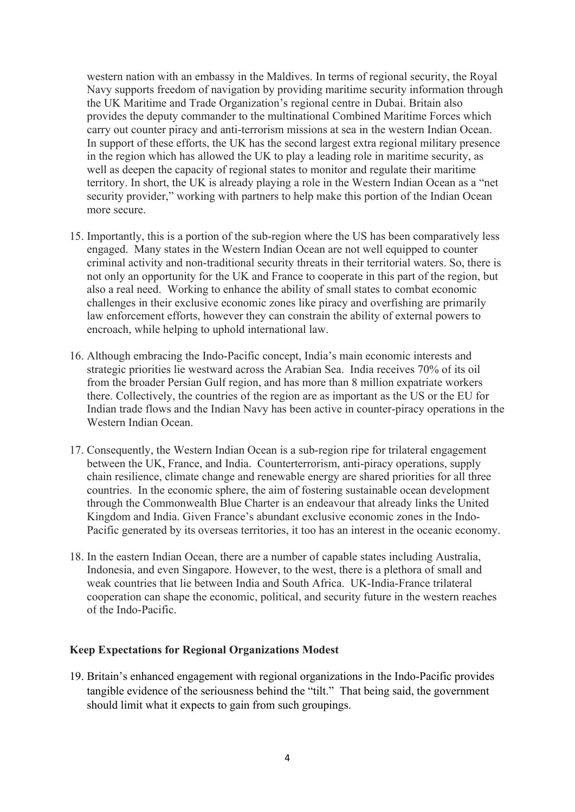western nation with an embassy in the Maldives. In terms of regional security, the Royal Navy supports freedom of navigation by providing maritime security information through the UK Maritime and Trade Organization's regional centre in Dubai. Britain also provides the deputy commander to the multinational Combined Maritime Forces which carry out counter piracy and anti-terrorism missions at sea in the western Indian Ocean. In support of these efforts, the UK has the second largest extra regional military presence in the region which has allowed the UK to play a leading role in maritime security, as well as deepen the capacity of regional states to monitor and regulate their maritime territory. In short, the UK is already playing a role in the Western Indian Ocean as a "net security provider," working with partners to help make this portion of the Indian Ocean more secure.

- 15. Importantly, this is a portion of the sub-region where the US has been comparatively less engaged. Many states in the Western Indian Ocean are not well equipped to counter criminal activity and non-traditional security threats in their territorial waters. So, there is not only an opportunity for the UK and France to cooperate in this part of the region, but also a real need. Working to enhance the ability of small states to combat economic challenges in their exclusive economic zones like piracy and overfishing are primarily law enforcement efforts, however they can constrain the ability of external powers to encroach, while helping to uphold international law.
- 16. Although embracing the Indo-Pacific concept, India's main economic interests and strategic priorities lie westward across the Arabian Sea. India receives 70% of its oil from the broader Persian Gulf region, and has more than 8 million expatriate workers there. Collectively, the countries of the region are as important as the US or the EU for Indian trade flows and the Indian Navy has been active in counter-piracy operations in the Western Indian Ocean.
- 17. Consequently, the Western Indian Ocean is a sub-region ripe for trilateral engagement between the UK, France, and India. Counterterrorism, anti-piracy operations, supply chain resilience, climate change and renewable energy are shared priorities for all three countries. In the economic sphere, the aim of fostering sustainable ocean development through the Commonwealth Blue Charter is an endeavour that already links the United Kingdom and India. Given France's abundant exclusive economic zones in the Indo-Pacific generated by its overseas territories, it too has an interest in the oceanic economy.
- 18. In the eastern Indian Ocean, there are a number of capable states including Australia, Indonesia, and even Singapore. However, to the west, there is a plethora of small and weak countries that lie between India and South Africa. UK-India-France trilateral cooperation can shape the economic, political, and security future in the western reaches of the Indo-Pacific.

#### **Keep Expectations for Regional Organizations Modest**

19. Britain's enhanced engagement with regional organizations in the Indo-Pacific provides tangible evidence of the seriousness behind the "tilt." That being said, the government should limit what it expects to gain from such groupings.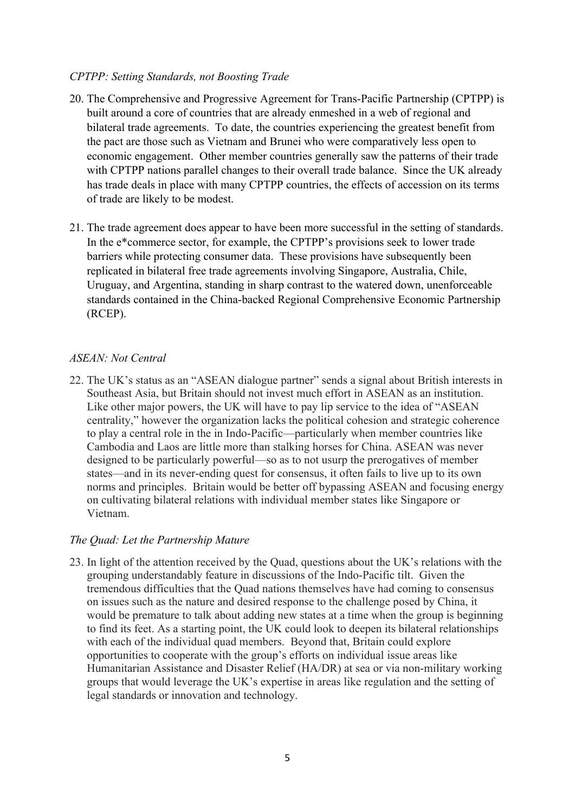# *CPTPP: Setting Standards, not Boosting Trade*

- 20. The Comprehensive and Progressive Agreement for Trans-Pacific Partnership (CPTPP) is built around a core of countries that are already enmeshed in a web of regional and bilateral trade agreements. To date, the countries experiencing the greatest benefit from the pact are those such as Vietnam and Brunei who were comparatively less open to economic engagement. Other member countries generally saw the patterns of their trade with CPTPP nations parallel changes to their overall trade balance. Since the UK already has trade deals in place with many CPTPP countries, the effects of accession on its terms of trade are likely to be modest.
- 21. The trade agreement does appear to have been more successful in the setting of standards. In the e\*commerce sector, for example, the CPTPP's provisions seek to lower trade barriers while protecting consumer data. These provisions have subsequently been replicated in bilateral free trade agreements involving Singapore, Australia, Chile, Uruguay, and Argentina, standing in sharp contrast to the watered down, unenforceable standards contained in the China-backed Regional Comprehensive Economic Partnership (RCEP).

## *ASEAN: Not Central*

22. The UK's status as an "ASEAN dialogue partner" sends a signal about British interests in Southeast Asia, but Britain should not invest much effort in ASEAN as an institution. Like other major powers, the UK will have to pay lip service to the idea of "ASEAN centrality," however the organization lacks the political cohesion and strategic coherence to play a central role in the in Indo-Pacific—particularly when member countries like Cambodia and Laos are little more than stalking horses for China. ASEAN was never designed to be particularly powerful—so as to not usurp the prerogatives of member states—and in its never-ending quest for consensus, it often fails to live up to its own norms and principles. Britain would be better off bypassing ASEAN and focusing energy on cultivating bilateral relations with individual member states like Singapore or Vietnam.

### *The Quad: Let the Partnership Mature*

23. In light of the attention received by the Quad, questions about the UK's relations with the grouping understandably feature in discussions of the Indo-Pacific tilt. Given the tremendous difficulties that the Quad nations themselves have had coming to consensus on issues such as the nature and desired response to the challenge posed by China, it would be premature to talk about adding new states at a time when the group is beginning to find its feet. As a starting point, the UK could look to deepen its bilateral relationships with each of the individual quad members. Beyond that, Britain could explore opportunities to cooperate with the group's efforts on individual issue areas like Humanitarian Assistance and Disaster Relief (HA/DR) at sea or via non-military working groups that would leverage the UK's expertise in areas like regulation and the setting of legal standards or innovation and technology.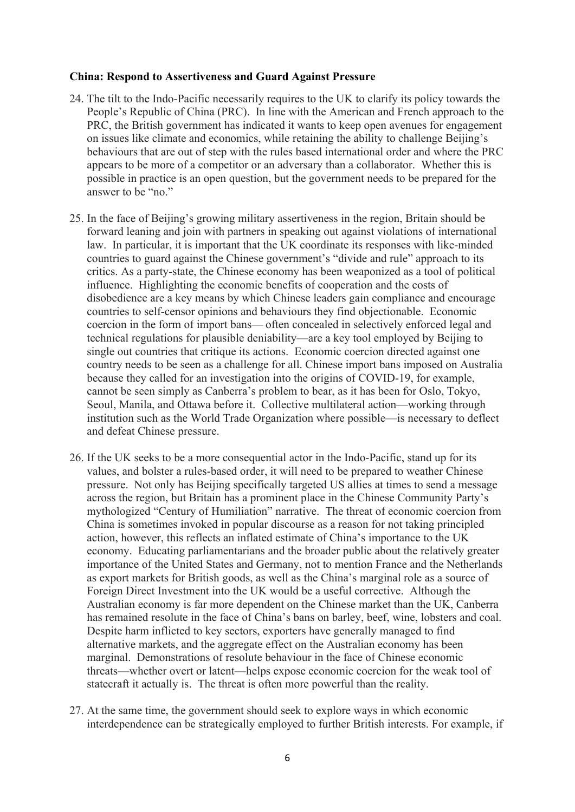#### **China: Respond to Assertiveness and Guard Against Pressure**

- 24. The tilt to the Indo-Pacific necessarily requires to the UK to clarify its policy towards the People's Republic of China (PRC). In line with the American and French approach to the PRC, the British government has indicated it wants to keep open avenues for engagement on issues like climate and economics, while retaining the ability to challenge Beijing's behaviours that are out of step with the rules based international order and where the PRC appears to be more of a competitor or an adversary than a collaborator. Whether this is possible in practice is an open question, but the government needs to be prepared for the answer to be "no."
- 25. In the face of Beijing's growing military assertiveness in the region, Britain should be forward leaning and join with partners in speaking out against violations of international law. In particular, it is important that the UK coordinate its responses with like-minded countries to guard against the Chinese government's "divide and rule" approach to its critics. As a party-state, the Chinese economy has been weaponized as a tool of political influence. Highlighting the economic benefits of cooperation and the costs of disobedience are a key means by which Chinese leaders gain compliance and encourage countries to self-censor opinions and behaviours they find objectionable. Economic coercion in the form of import bans— often concealed in selectively enforced legal and technical regulations for plausible deniability—are a key tool employed by Beijing to single out countries that critique its actions. Economic coercion directed against one country needs to be seen as a challenge for all. Chinese import bans imposed on Australia because they called for an investigation into the origins of COVID-19, for example, cannot be seen simply as Canberra's problem to bear, as it has been for Oslo, Tokyo, Seoul, Manila, and Ottawa before it. Collective multilateral action—working through institution such as the World Trade Organization where possible—is necessary to deflect and defeat Chinese pressure.
- 26. If the UK seeks to be a more consequential actor in the Indo-Pacific, stand up for its values, and bolster a rules-based order, it will need to be prepared to weather Chinese pressure. Not only has Beijing specifically targeted US allies at times to send a message across the region, but Britain has a prominent place in the Chinese Community Party's mythologized "Century of Humiliation" narrative. The threat of economic coercion from China is sometimes invoked in popular discourse as a reason for not taking principled action, however, this reflects an inflated estimate of China's importance to the UK economy. Educating parliamentarians and the broader public about the relatively greater importance of the United States and Germany, not to mention France and the Netherlands as export markets for British goods, as well as the China's marginal role as a source of Foreign Direct Investment into the UK would be a useful corrective. Although the Australian economy is far more dependent on the Chinese market than the UK, Canberra has remained resolute in the face of China's bans on barley, beef, wine, lobsters and coal. Despite harm inflicted to key sectors, exporters have generally managed to find alternative markets, and the aggregate effect on the Australian economy has been marginal. Demonstrations of resolute behaviour in the face of Chinese economic threats—whether overt or latent—helps expose economic coercion for the weak tool of statecraft it actually is. The threat is often more powerful than the reality.
- 27. At the same time, the government should seek to explore ways in which economic interdependence can be strategically employed to further British interests. For example, if